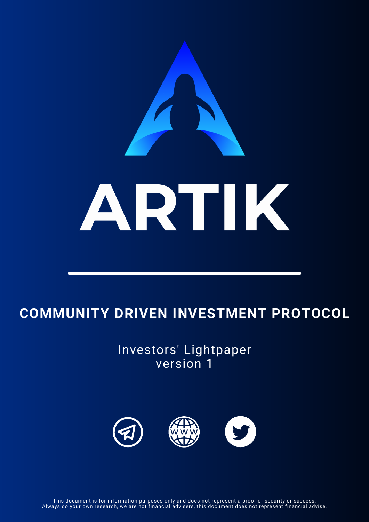# ARTIK

## **COMMUNITY DRIVEN INVESTMENT PROTOCOL**

Investors' Lightpaper version 1



This document is for information purposes only and does not represent a proof of security or success. Always do your own research, we are not financial advisers, this document does not represent financial advise.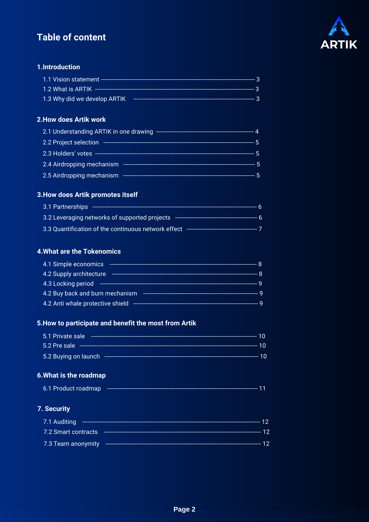### **Table of content**



### 1.Introduction

| 1.3 Why did we develop ARTIK |  |
|------------------------------|--|

### 2. How does Artik work

| 2.1 Understanding ARTIK in one drawing                                                                                                                       |  |
|--------------------------------------------------------------------------------------------------------------------------------------------------------------|--|
| 2.2 Project selection                                                                                                                                        |  |
|                                                                                                                                                              |  |
| 2.4 Airdropping mechanism<br>$\mathcal{L}^{\text{max}}_{\text{max}}$ and $\mathcal{L}^{\text{max}}_{\text{max}}$ and $\mathcal{L}^{\text{max}}_{\text{max}}$ |  |
| 2.5 Airdropping mechanism                                                                                                                                    |  |

### 3. How does Artik promotes itself

| 3.1 Partnerships                                    |  |
|-----------------------------------------------------|--|
| 3.2 Leveraging networks of supported projects       |  |
| 3.3 Quantification of the continuous network effect |  |

### **4. What are the Tokenomics**

| 4.1 Simple economics                                      |  |
|-----------------------------------------------------------|--|
| 4.2 Supply architecture<br>------------------------------ |  |
| 4.3 Locking period                                        |  |
| 4.2 Buy back and burn mechanism                           |  |
| 4.2 Anti whale protective shield                          |  |

### 5. How to participate and benefit the most from Artik

| 5.1 Private sale              |    |
|-------------------------------|----|
| 5.2 Pre sale                  | 10 |
| 5.2 Buying on launch -------- |    |

### 6. What is the roadmap

| 6.1 Product roadmap |  |  |  |
|---------------------|--|--|--|
|---------------------|--|--|--|

### 7. Security

| 7.1 Auditing        |       |
|---------------------|-------|
| 7.2 Smart contracts |       |
| 7.3 Team anonymity  | ----- |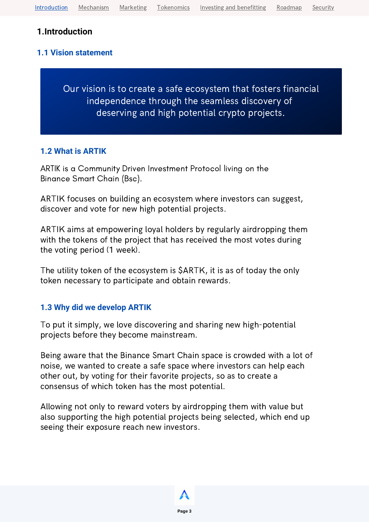### <span id="page-2-0"></span>**1.Introduction**

### **1.1 Vision statement**

Our vision is to create a safe ecosystem that fosters financial independence through the seamless discovery of deserving and high potential crypto projects.

### **1.2 What is ARTIK**

ARTIK is a Community Driven Investment Protocol living on the Binance Smart Chain (Bsc).

ARTIK focuses on building an ecosystem where investors can suggest, discover and vote for new high potential projects.

ARTIK aims at empowering loyal holders by regularly airdropping them with the tokens of the project that has received the most votes during the voting period (1 week).

The utility token of the ecosystem is \$ARTK, it is as of today the only token necessary to participate and obtain rewards.

### **1.3 Why did we develop ARTIK**

To put it simply, we love discovering and sharing new high-potential projects before they become mainstream.

Being aware that the Binance Smart Chain space is crowded with a lot of noise, we wanted to create a safe space where investors can help each other out, by voting for their favorite projects, so as to create a consensus of which token has the most potential.

Allowing not only to reward voters by airdropping them with value but also supporting the high potential projects being selected, which end up seeing their exposure reach new investors.

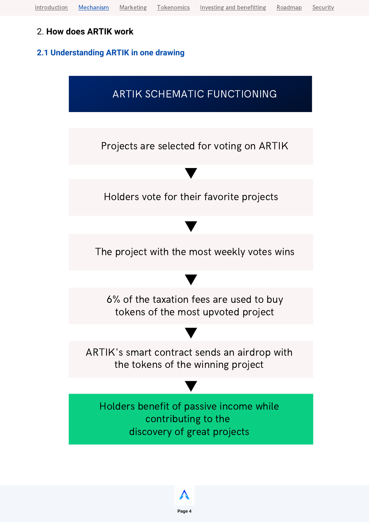### <span id="page-3-0"></span>2. **How does ARTIK work**

### **2.1 Understanding ARTIK in one drawing**

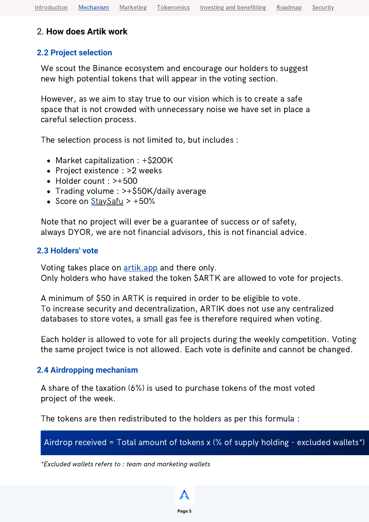### 2. **How does Artik work**

### **2.2 Project selection**

We scout the Binance ecosystem and encourage our holders to suggest new high potential tokens that will appear in the voting section.

However, as we aim to stay true to our vision which is to create a safe space that is not crowded with unnecessary noise we have set in place a careful selection process.

The selection process is not limited to, but includes :

- Market capitalization : +\$200K
- Project existence : >2 weeks
- Holder count : >+500
- Trading volume : >+\$50K/daily average
- Score on  $\frac{StaySatu}{$  > +50%

Note that no project will ever be a guarantee of success or of safety, always DYOR, we are not financial advisors, this is not financial advice.

### **2.3 Holders' vote**

Voting takes place on **[artik.app](http://artik.app/)** and there only. Only holders who have staked the token \$ARTK are allowed to vote for projects.

A minimum of \$50 in ARTK is required in order to be eligible to vote. To increase security and decentralization, ARTIK does not use any centralized databases to store votes, a small gas fee is therefore required when voting.

Each holder is allowed to vote for all projects during the weekly competition. Voting the same project twice is not allowed. Each vote is definite and cannot be changed.

### **2.4 Airdropping mechanism**

A share of the taxation (6%) is used to purchase tokens of the most voted project of the week.

The tokens are then redistributed to the holders as per this formula :

### Airdrop received = Total amount of tokens x (% of supply holding - excluded wallets\*)

\*Excluded wallets refers to : team and marketing wallets

**Page 5**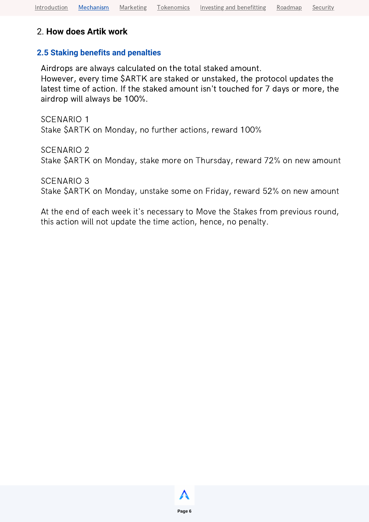### 2. **How does Artik work**

### **2.5 Staking benefits and penalties**

Airdrops are always calculated on the total staked amount.

However, every time \$ARTK are staked or unstaked, the protocol updates the latest time of action. If the staked amount isn't touched for 7 days or more, the airdrop will always be 100%.

SCENARIO 1 Stake \$ARTK on Monday, no further actions, reward 100%

SCENARIO 2 Stake \$ARTK on Monday, stake more on Thursday, reward 72% on new amount

SCENARIO 3

Stake \$ARTK on Monday, unstake some on Friday, reward 52% on new amount

At the end of each week it's necessary to Move the Stakes from previous round, this action will not update the time action, hence, no penalty.

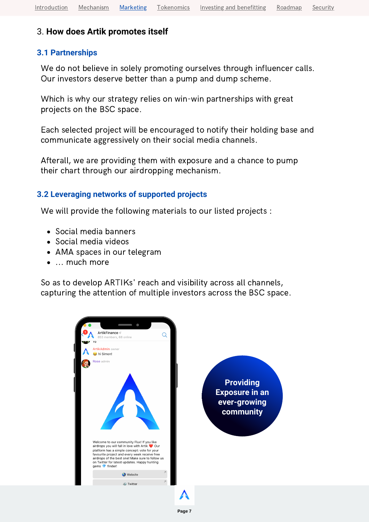### <span id="page-6-0"></span>3. **How does Artik promotes itself**

### **3.1 Partnerships**

We do not believe in solely promoting ourselves through influencer calls. Our investors deserve better than a pump and dump scheme.

Which is why our strategy relies on win-win partnerships with great projects on the BSC space.

Each selected project will be encouraged to notify their holding base and communicate aggressively on their social media channels.

Afterall, we are providing them with exposure and a chance to pump their chart through our airdropping mechanism.

### **3.2 Leveraging networks of supported projects**

We will provide the following materials to our listed projects :

- Social media banners
- Social media videos
- AMA spaces in our telegram
- ... much more

So as to develop ARTIKs' reach and visibility across all channels, capturing the attention of multiple investors across the BSC space.

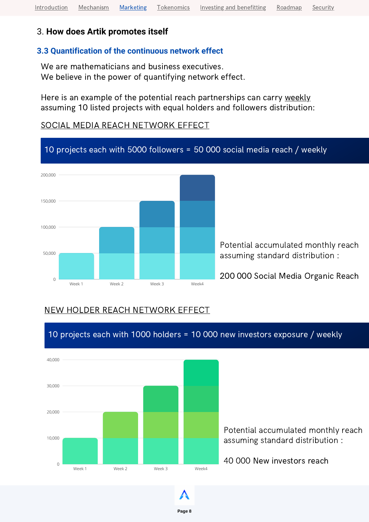### 3. **How does Artik promotes itself**

### **3.3 Quantification of the continuous network effect**

We are mathematicians and business executives. We believe in the power of quantifying network effect.

Here is an example of the potential reach partnerships can carry weekly assuming 10 listed projects with equal holders and followers distribution:

### SOCIAL MEDIA REACH NETWORK EFFECT



### NEW HOLDER REACH NETWORK EFFECT

10 projects each with 1000 holders = 10 000 new investors exposure / weekly



Potential accumulated monthly reach assuming standard distribution :

40 000 New investors reach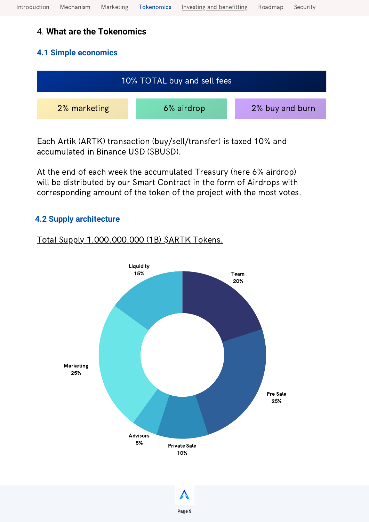### <span id="page-8-0"></span>4. **What are the Tokenomics**

### **4.1 Simple economics**



Each Artik (ARTK) transaction (buy/sell/transfer) is taxed 10% and accumulated in Binance USD (\$BUSD).

At the end of each week the accumulated Treasury (here 6% airdrop) will be distributed by our Smart Contract in the form of Airdrops with corresponding amount of the token of the project with the most votes.

### **4.2 Supply architecture**

### Total Supply 1.000.000.000 (1B) \$ARTK Tokens.

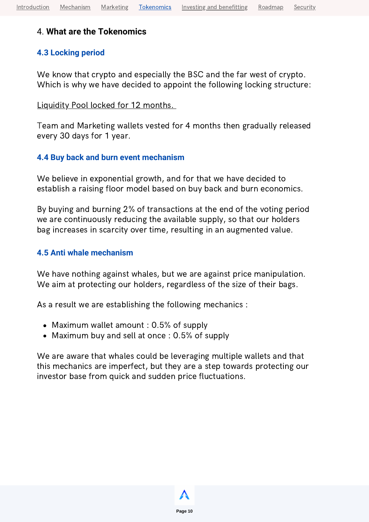### 4. **What are the Tokenomics**

### **4.3 Locking period**

We know that crypto and especially the BSC and the far west of crypto. Which is why we have decided to appoint the following locking structure:

### Liquidity Pool locked for 12 months.

Team and Marketing wallets vested for 4 months then gradually released every 30 days for 1 year.

### **4.4 Buy back and burn event mechanism**

We believe in exponential growth, and for that we have decided to establish a raising floor model based on buy back and burn economics.

By buying and burning 2% of transactions at the end of the voting period we are continuously reducing the available supply, so that our holders bag increases in scarcity over time, resulting in an augmented value.

### **4.5 Anti whale mechanism**

We have nothing against whales, but we are against price manipulation. We aim at protecting our holders, regardless of the size of their bags.

As a result we are establishing the following mechanics :

- Maximum wallet amount : 0.5% of supply
- Maximum buy and sell at once : 0.5% of supply

We are aware that whales could be leveraging multiple wallets and that this mechanics are imperfect, but they are a step towards protecting our investor base from quick and sudden price fluctuations.

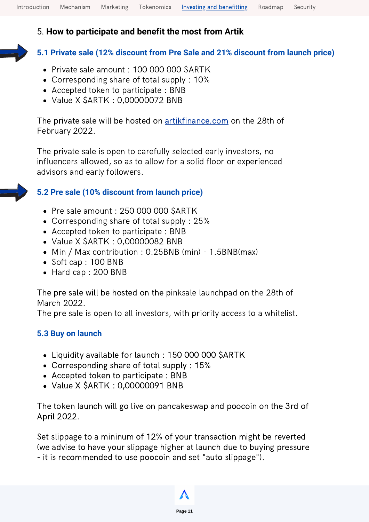<span id="page-10-0"></span>[Introduction](#page-2-0) [Mechanism](#page-3-0) [Marketing](#page-6-0) [Tokenomics](#page-8-0) Investing and [benefitting](#page-10-0) [Roadmap](#page-11-0) [Security](#page-12-0)

### 5. **How to participate and benefit the most from Artik**

### **5.1 Private sale (12% discount from Pre Sale and 21% discount from launch price)**

- Private sale amount : 100 000 000 \$ARTK
- Corresponding share of total supply : 10%
- Accepted token to participate : BNB
- Value X \$ARTK : 0,00000072 BNB

The private sale will be hosted on **[artikfinance.com](https://www.artikfinance.com/)** on the 28th of February 2022.

The private sale is open to carefully selected early investors, no influencers allowed, so as to allow for a solid floor or experienced advisors and early followers.

### **5.2 Pre sale (10% discount from launch price)**

- Pre sale amount : 250 000 000 \$ARTK
- Corresponding share of total supply : 25%
- Accepted token to participate : BNB
- Value X \$ARTK : 0,00000082 BNB
- Min / Max contribution : 0.25BNB (min) 1.5BNB(max)
- Soft cap: 100 BNB
- Hard cap : 200 BNB

The pre sale will be hosted on the pinksale launchpad on the 28th of March 2022.

The pre sale is open to all investors, with priority access to a whitelist.

### **5.3 Buy on launch**

- Liquidity available for launch : 150 000 000 \$ARTK
- Corresponding share of total supply : 15%
- Accepted token to participate : BNB
- Value X \$ARTK : 0,00000091 BNB

The token launch will go live on pancakeswap and poocoin on the 3rd of April 2022.

Set slippage to a mininum of 12% of your transaction might be reverted (we advise to have your slippage higher at launch due to buying pressure - it is recommended to use poocoin and set "auto slippage").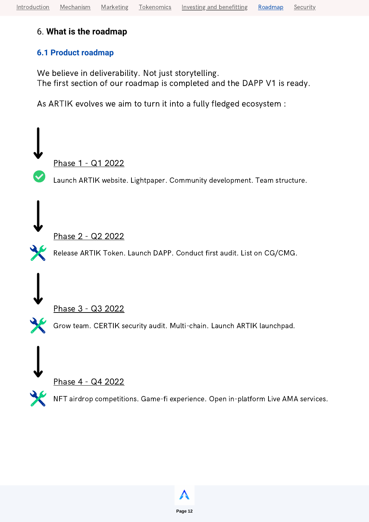### <span id="page-11-0"></span>6. **What is the roadmap**

### **6.1 Product roadmap**

We believe in deliverability. Not just storytelling. The first section of our roadmap is completed and the DAPP V1 is ready.

As ARTIK evolves we aim to turn it into a fully fledged ecosystem :

Phase 1 - Q1 2022

Launch ARTIK website. Lightpaper. Community development. Team structure.

Phase 2 - Q2 2022

Release ARTIK Token. Launch DAPP. Conduct first audit. List on CG/CMG.

Phase 3 - Q3 2022

Grow team. CERTIK security audit. Multi-chain. Launch ARTIK launchpad.

Phase 4 - Q4 2022

NFT airdrop competitions. Game-fi experience. Open in-platform Live AMA services.

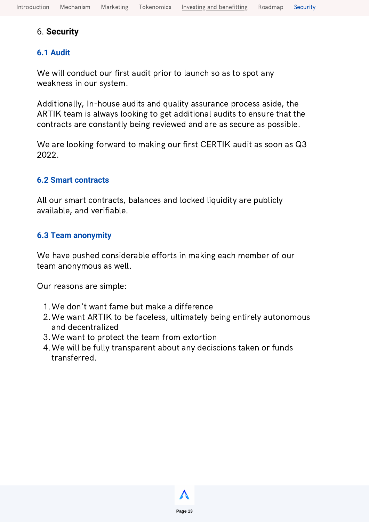### <span id="page-12-0"></span>6. **Security**

### **6.1 Audit**

We will conduct our first audit prior to launch so as to spot any weakness in our system.

Additionally, In-house audits and quality assurance process aside, the ARTIK team is always looking to get additional audits to ensure that the contracts are constantly being reviewed and are as secure as possible.

We are looking forward to making our first CERTIK audit as soon as Q3 2022.

### **6.2 Smart contracts**

All our smart contracts, balances and locked liquidity are publicly available, and verifiable.

### **6.3 Team anonymity**

We have pushed considerable efforts in making each member of our team anonymous as well.

Our reasons are simple:

- We don't want fame but make a difference 1.
- We want ARTIK to be faceless, ultimately being entirely autonomous 2. and decentralized
- We want to protect the team from extortion 3.
- We will be fully transparent about any deciscions taken or funds 4.transferred.